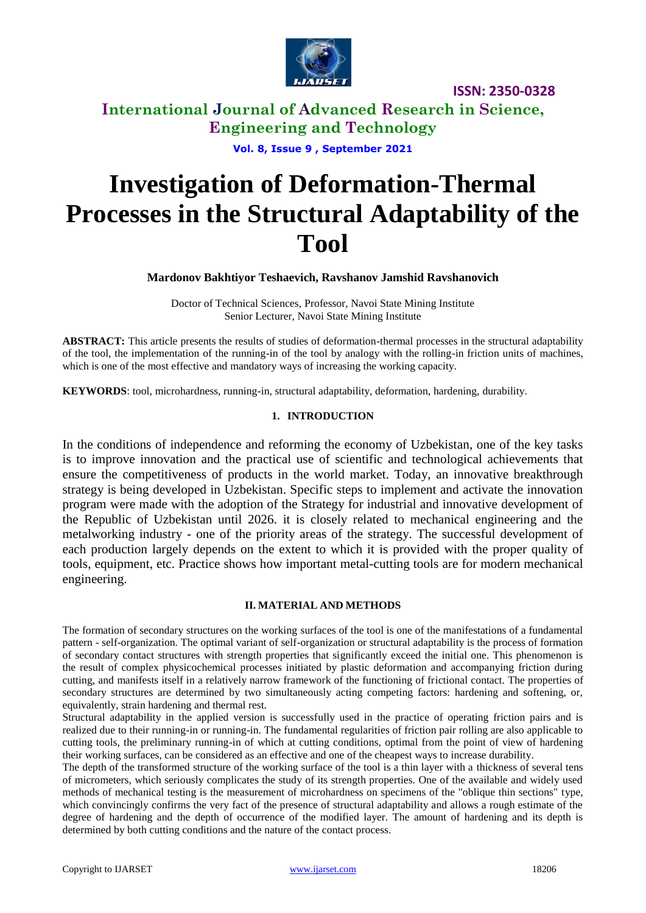

**ISSN: 2350-0328**

**International Journal of Advanced Research in Science, Engineering and Technology**

**Vol. 8, Issue 9 , September 2021**

# **Investigation of Deformation-Thermal Processes in the Structural Adaptability of the Tool**

**Mardonov Bakhtiyor Teshaevich, Ravshanov Jamshid Ravshanovich**

Doctor of Technical Sciences, Professor, Navoi State Mining Institute Senior Lecturer, Navoi State Mining Institute

**ABSTRACT:** This article presents the results of studies of deformation-thermal processes in the structural adaptability of the tool, the implementation of the running-in of the tool by analogy with the rolling-in friction units of machines, which is one of the most effective and mandatory ways of increasing the working capacity.

**KEYWORDS**: tool, microhardness, running-in, structural adaptability, deformation, hardening, durability.

### **1. INTRODUCTION**

In the conditions of independence and reforming the economy of Uzbekistan, one of the key tasks is to improve innovation and the practical use of scientific and technological achievements that ensure the competitiveness of products in the world market. Today, an innovative breakthrough strategy is being developed in Uzbekistan. Specific steps to implement and activate the innovation program were made with the adoption of the Strategy for industrial and innovative development of the Republic of Uzbekistan until 2026. it is closely related to mechanical engineering and the metalworking industry - one of the priority areas of the strategy. The successful development of each production largely depends on the extent to which it is provided with the proper quality of tools, equipment, etc. Practice shows how important metal-cutting tools are for modern mechanical engineering.

#### **II. MATERIAL AND METHODS**

The formation of secondary structures on the working surfaces of the tool is one of the manifestations of a fundamental pattern - self-organization. The optimal variant of self-organization or structural adaptability is the process of formation of secondary contact structures with strength properties that significantly exceed the initial one. This phenomenon is the result of complex physicochemical processes initiated by plastic deformation and accompanying friction during cutting, and manifests itself in a relatively narrow framework of the functioning of frictional contact. The properties of secondary structures are determined by two simultaneously acting competing factors: hardening and softening, or, equivalently, strain hardening and thermal rest.

Structural adaptability in the applied version is successfully used in the practice of operating friction pairs and is realized due to their running-in or running-in. The fundamental regularities of friction pair rolling are also applicable to cutting tools, the preliminary running-in of which at cutting conditions, optimal from the point of view of hardening their working surfaces, can be considered as an effective and one of the cheapest ways to increase durability.

The depth of the transformed structure of the working surface of the tool is a thin layer with a thickness of several tens of micrometers, which seriously complicates the study of its strength properties. One of the available and widely used methods of mechanical testing is the measurement of microhardness on specimens of the "oblique thin sections" type, which convincingly confirms the very fact of the presence of structural adaptability and allows a rough estimate of the degree of hardening and the depth of occurrence of the modified layer. The amount of hardening and its depth is determined by both cutting conditions and the nature of the contact process.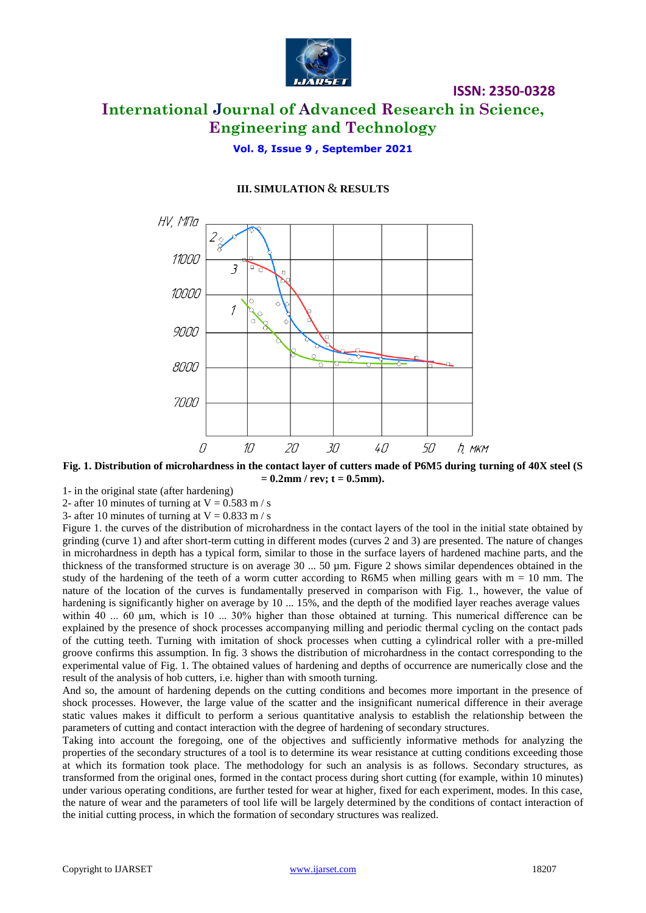

## **ISSN: 2350-0328 International Journal of Advanced Research in Science, Engineering and Technology**

**Vol. 8, Issue 9 , September 2021**

### **III. SIMULATION** & **RESULTS**



**Fig. 1. Distribution of microhardness in the contact layer of cutters made of P6M5 during turning of 40X steel (S = 0.2mm / rev; t = 0.5mm).**

1- in the original state (after hardening)

2- after 10 minutes of turning at  $V = 0.583$  m / s

3- after 10 minutes of turning at  $V = 0.833$  m / s

Figure 1. the curves of the distribution of microhardness in the contact layers of the tool in the initial state obtained by grinding (curve 1) and after short-term cutting in different modes (curves 2 and 3) are presented. The nature of changes in microhardness in depth has a typical form, similar to those in the surface layers of hardened machine parts, and the thickness of the transformed structure is on average 30 ... 50 µm. Figure 2 shows similar dependences obtained in the study of the hardening of the teeth of a worm cutter according to R6M5 when milling gears with  $m = 10$  mm. The nature of the location of the curves is fundamentally preserved in comparison with Fig. 1., however, the value of hardening is significantly higher on average by 10 ... 15%, and the depth of the modified layer reaches average values within 40 ... 60 μm, which is 10 ... 30% higher than those obtained at turning. This numerical difference can be explained by the presence of shock processes accompanying milling and periodic thermal cycling on the contact pads of the cutting teeth. Turning with imitation of shock processes when cutting a cylindrical roller with a pre-milled groove confirms this assumption. In fig. 3 shows the distribution of microhardness in the contact corresponding to the experimental value of Fig. 1. The obtained values of hardening and depths of occurrence are numerically close and the result of the analysis of hob cutters, i.e. higher than with smooth turning.

And so, the amount of hardening depends on the cutting conditions and becomes more important in the presence of shock processes. However, the large value of the scatter and the insignificant numerical difference in their average static values makes it difficult to perform a serious quantitative analysis to establish the relationship between the parameters of cutting and contact interaction with the degree of hardening of secondary structures.

Taking into account the foregoing, one of the objectives and sufficiently informative methods for analyzing the properties of the secondary structures of a tool is to determine its wear resistance at cutting conditions exceeding those at which its formation took place. The methodology for such an analysis is as follows. Secondary structures, as transformed from the original ones, formed in the contact process during short cutting (for example, within 10 minutes) under various operating conditions, are further tested for wear at higher, fixed for each experiment, modes. In this case, the nature of wear and the parameters of tool life will be largely determined by the conditions of contact interaction of the initial cutting process, in which the formation of secondary structures was realized.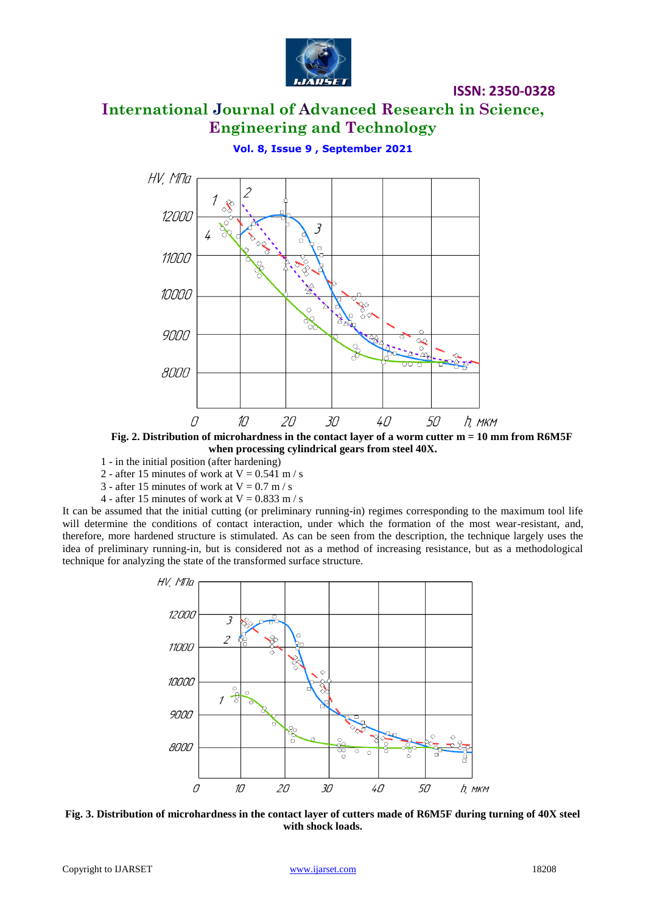

### **ISSN: 2350-0328**

# **International Journal of Advanced Research in Science, Engineering and Technology**

**Vol. 8, Issue 9 , September 2021**



**Fig. 2. Distribution of microhardness in the contact layer of a worm cutter m = 10 mm from R6M5F when processing cylindrical gears from steel 40X.**

- 1 in the initial position (after hardening)
- 2 after 15 minutes of work at  $V = 0.541$  m / s
- 3 after 15 minutes of work at  $V = 0.7$  m / s
- 4 after 15 minutes of work at  $V = 0.833$  m / s

It can be assumed that the initial cutting (or preliminary running-in) regimes corresponding to the maximum tool life will determine the conditions of contact interaction, under which the formation of the most wear-resistant, and, therefore, more hardened structure is stimulated. As can be seen from the description, the technique largely uses the idea of preliminary running-in, but is considered not as a method of increasing resistance, but as a methodological technique for analyzing the state of the transformed surface structure.